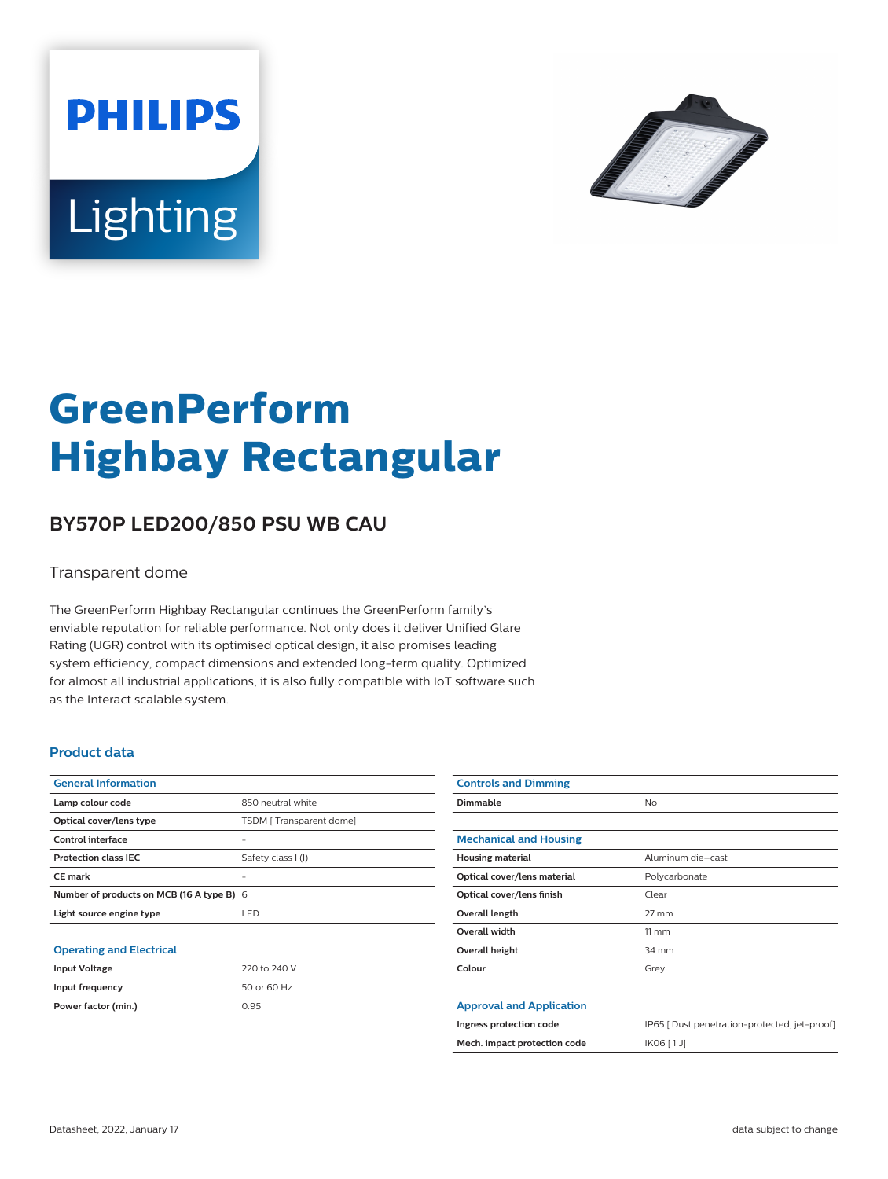



# **GreenPerform Highbay Rectangular**

## **BY570P LED200/850 PSU WB CAU**

#### Transparent dome

The GreenPerform Highbay Rectangular continues the GreenPerform family's enviable reputation for reliable performance. Not only does it deliver Unified Glare Rating (UGR) control with its optimised optical design, it also promises leading system efficiency, compact dimensions and extended long-term quality. Optimized for almost all industrial applications, it is also fully compatible with IoT software such as the Interact scalable system.

#### **Product data**

| <b>General Information</b>                |                         |
|-------------------------------------------|-------------------------|
| Lamp colour code                          | 850 neutral white       |
| Optical cover/lens type                   | TSDM [Transparent dome] |
| Control interface                         |                         |
| <b>Protection class IEC</b>               | Safety class I (I)      |
| CF mark                                   |                         |
| Number of products on MCB (16 A type B) 6 |                         |
| Light source engine type                  | LED                     |
|                                           |                         |
| <b>Operating and Electrical</b>           |                         |
| <b>Input Voltage</b>                      | 220 to 240 V            |
| Input frequency                           | 50 or 60 Hz             |
| Power factor (min.)                       | 0.95                    |
|                                           |                         |

| <b>Controls and Dimming</b>     |                                               |
|---------------------------------|-----------------------------------------------|
| Dimmable                        | No                                            |
|                                 |                                               |
| <b>Mechanical and Housing</b>   |                                               |
| <b>Housing material</b>         | Aluminum die-cast                             |
| Optical cover/lens material     | Polycarbonate                                 |
| Optical cover/lens finish       | Clear                                         |
| Overall length                  | $27 \text{ mm}$                               |
| <b>Overall width</b>            | $11 \, \mathrm{mm}$                           |
| Overall height                  | 34 mm                                         |
| Colour                          | Grey                                          |
|                                 |                                               |
| <b>Approval and Application</b> |                                               |
| Ingress protection code         | IP65 [ Dust penetration-protected, jet-proof] |
| Mech. impact protection code    | IK06 [1J]                                     |
|                                 |                                               |